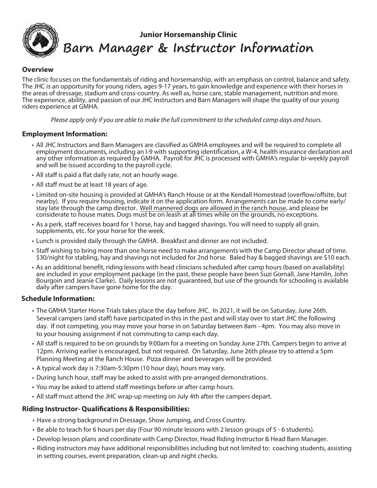

### **Overview**

The clinic focuses on the fundamentals of riding and horsemanship, with an emphasis on control, balance and safety. The JHC is an opportunity for young riders, ages 9-17 years, to gain knowledge and experience with their horses in the areas of dressage, stadium and cross-country. As well as, horse care, stable management, nutrition and more. The experience, ability, and passion of our JHC Instructors and Barn Managers will shape the quality of our young riders experience at GMHA.

Please apply only if you are able to make the full commitment to the scheduled camp days and hours.

# **Employment Information:**

- All JHC Instructors and Barn Managers are classified as GMHA employees and will be required to complete all employment documents, including an I-9 with supporting identification, a W-4, health insurance declaration and any other information as required by GMHA. Payroll for JHC is processed with GMHA's regular bi-weekly payroll and will be issued according to the payroll cycle.
- All staff is paid a flat daily rate, not an hourly wage.
- All staff must be at least 18 years of age.
- Limited on-site housing is provided at GMHA's Ranch House or at the Kendall Homestead (overflow/offsite, but nearby). If you require housing, indicate it on the application form. Arrangements can be made to come early/ stay late through the camp director. Well mannered dogs are allowed in the ranch house, and please be considerate to house mates. Dogs must be on leash at all times while on the grounds, no exceptions.
- As a perk, staff receives board for 1 horse, hay and bagged shavings. You will need to supply all grain, supplements, etc. for your horse for the week.
- Lunch is provided daily through the GMHA. Breakfast and dinner are not included.
- Staff wishing to bring more than one horse need to make arrangements with the Camp Director ahead of time. \$30/night for stabling, hay and shavings not included for 2nd horse. Baled hay & bagged shavings are \$10 each.
- As an additional benefit, riding lessons with head clinicians scheduled after camp hours (based on availability) are included in your employment package (in the past, these people have been Suzi Gornall, Jane Hamlin, John Bourgoin and Jeanie Clarke). Daily lessons are not guaranteed, but use of the grounds for schooling is available daily after campers have gone home for the day.

# **Schedule Information:**

- The GMHA Starter Horse Trials takes place the day before JHC. In 2021, it will be on Saturday, June 26th. Several campers (and staff) have participated in this in the past and will stay over to start JHC the following day. If not competing, you may move your horse in on Saturday between 8am - 4pm. You may also move in to your housing assignment if not commuting to camp each day.
- All staff is required to be on grounds by 9:00am for a meeting on Sunday June 27th. Campers begin to arrive at 12pm. Arriving earlier is encouraged, but not required. On Saturday, June 26th please try to attend a 5pm Planning Meeting at the Ranch House. Pizza dinner and beverages will be provided.
- A typical work day is 7:30am-5:30pm (10 hour day), hours may vary.
- During lunch hour, staff may be asked to assist with pre-arranged demonstrations.
- You may be asked to attend staff meetings before or after camp hours.
- All staff must attend the JHC wrap-up meeting on July 4th after the campers depart.

# **Riding Instructor- Qualifications & Responsibilities:**

- Have a strong background in Dressage, Show Jumping, and Cross Country.
- Be able to teach for 6 hours per day (Four 90 minute lessons with 2 lesson groups of 5 6 students).
- Develop lesson plans and coordinate with Camp Director, Head Riding Instructor & Head Barn Manager.
- Riding instructors may have additional responsibilities including but not limited to: coaching students, assisting in setting courses, event preparation, clean-up and night checks.